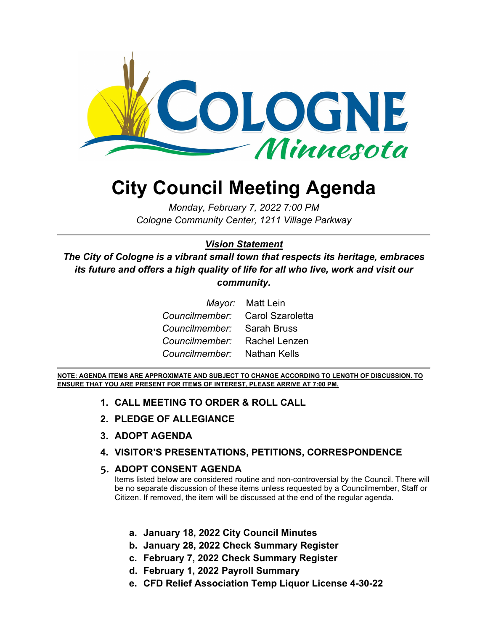

# **City Council Meeting Agenda**

*Monday, February 7, 2022 7:00 PM Cologne Community Center, 1211 Village Parkway*

#### *Vision Statement*

*The City of Cologne is a vibrant small town that respects its heritage, embraces its future and offers a high quality of life for all who live, work and visit our community.*

|                                 | <i>Mayor:</i> Matt Lein |
|---------------------------------|-------------------------|
| Councilmember: Carol Szaroletta |                         |
| Councilmember: Sarah Bruss      |                         |
| Councilmember: Rachel Lenzen    |                         |
| Councilmember: Nathan Kells     |                         |

**NOTE: AGENDA ITEMS ARE APPROXIMATE AND SUBJECT TO CHANGE ACCORDING TO LENGTH OF DISCUSSION. TO ENSURE THAT YOU ARE PRESENT FOR ITEMS OF INTEREST, PLEASE ARRIVE AT 7:00 PM.**

- **1. CALL MEETING TO ORDER & ROLL CALL**
- **2. PLEDGE OF ALLEGIANCE**
- **3. ADOPT AGENDA**
- **4. VISITOR'S PRESENTATIONS, PETITIONS, CORRESPONDENCE**

#### **5. ADOPT CONSENT AGENDA**

Items listed below are considered routine and non-controversial by the Council. There will be no separate discussion of these items unless requested by a Councilmember, Staff or Citizen. If removed, the item will be discussed at the end of the regular agenda.

- **a. January 18, 2022 City Council Minutes**
- **b. January 28, 2022 Check Summary Register**
- **c. February 7, 2022 Check Summary Register**
- **d. February 1, 2022 Payroll Summary**
- **e. CFD Relief Association Temp Liquor License 4-30-22**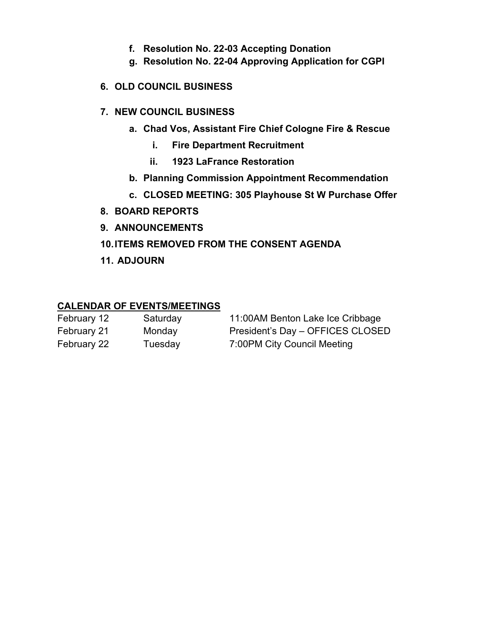- **f. Resolution No. 22-03 Accepting Donation**
- **g. Resolution No. 22-04 Approving Application for CGPI**

#### **6. OLD COUNCIL BUSINESS**

#### **7. NEW COUNCIL BUSINESS**

- **a. Chad Vos, Assistant Fire Chief Cologne Fire & Rescue**
	- **i. Fire Department Recruitment**
	- **ii. 1923 LaFrance Restoration**
- **b. Planning Commission Appointment Recommendation**
- **c. CLOSED MEETING: 305 Playhouse St W Purchase Offer**
- **8. BOARD REPORTS**
- **9. ANNOUNCEMENTS**

#### **10.ITEMS REMOVED FROM THE CONSENT AGENDA**

**11. ADJOURN**

#### **CALENDAR OF EVENTS/MEETINGS**

| February 12 | Saturday | 11:00AM Benton Lake Ice Cribbage |
|-------------|----------|----------------------------------|
| February 21 | Monday   | President's Day - OFFICES CLOSED |
| February 22 | Tuesday  | 7:00PM City Council Meeting      |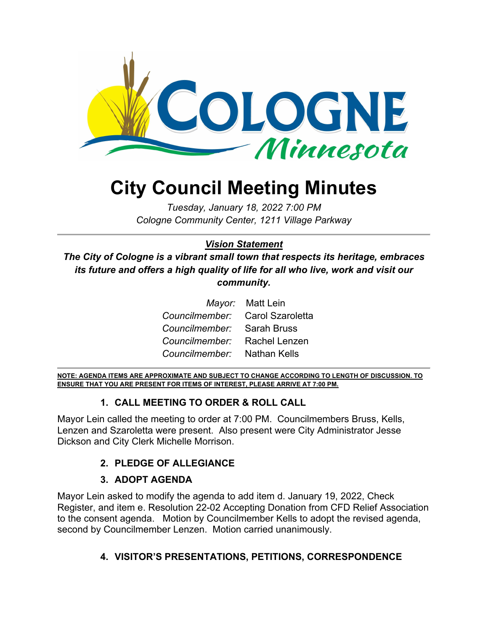

# **City Council Meeting Minutes**

*Tuesday, January 18, 2022 7:00 PM Cologne Community Center, 1211 Village Parkway*

#### *Vision Statement*

*The City of Cologne is a vibrant small town that respects its heritage, embraces its future and offers a high quality of life for all who live, work and visit our community.*

|                                 | Mayor: Matt Lein |
|---------------------------------|------------------|
| Councilmember: Carol Szaroletta |                  |
| Councilmember: Sarah Bruss      |                  |
| Councilmember: Rachel Lenzen    |                  |
| Councilmember: Nathan Kells     |                  |

**NOTE: AGENDA ITEMS ARE APPROXIMATE AND SUBJECT TO CHANGE ACCORDING TO LENGTH OF DISCUSSION. TO ENSURE THAT YOU ARE PRESENT FOR ITEMS OF INTEREST, PLEASE ARRIVE AT 7:00 PM.**

#### **1. CALL MEETING TO ORDER & ROLL CALL**

Mayor Lein called the meeting to order at 7:00 PM. Councilmembers Bruss, Kells, Lenzen and Szaroletta were present. Also present were City Administrator Jesse Dickson and City Clerk Michelle Morrison.

#### **2. PLEDGE OF ALLEGIANCE**

#### **3. ADOPT AGENDA**

Mayor Lein asked to modify the agenda to add item d. January 19, 2022, Check Register, and item e. Resolution 22-02 Accepting Donation from CFD Relief Association to the consent agenda. Motion by Councilmember Kells to adopt the revised agenda, second by Councilmember Lenzen. Motion carried unanimously.

#### **4. VISITOR'S PRESENTATIONS, PETITIONS, CORRESPONDENCE**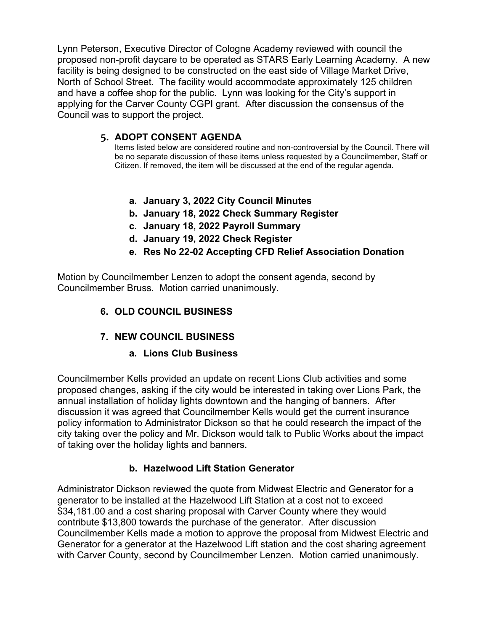Lynn Peterson, Executive Director of Cologne Academy reviewed with council the proposed non-profit daycare to be operated as STARS Early Learning Academy. A new facility is being designed to be constructed on the east side of Village Market Drive, North of School Street. The facility would accommodate approximately 125 children and have a coffee shop for the public. Lynn was looking for the City's support in applying for the Carver County CGPI grant. After discussion the consensus of the Council was to support the project.

#### **5. ADOPT CONSENT AGENDA**

Items listed below are considered routine and non-controversial by the Council. There will be no separate discussion of these items unless requested by a Councilmember, Staff or Citizen. If removed, the item will be discussed at the end of the regular agenda.

- **a. January 3, 2022 City Council Minutes**
- **b. January 18, 2022 Check Summary Register**
- **c. January 18, 2022 Payroll Summary**
- **d. January 19, 2022 Check Register**
- **e. Res No 22-02 Accepting CFD Relief Association Donation**

Motion by Councilmember Lenzen to adopt the consent agenda, second by Councilmember Bruss. Motion carried unanimously.

#### **6. OLD COUNCIL BUSINESS**

#### **7. NEW COUNCIL BUSINESS**

#### **a. Lions Club Business**

Councilmember Kells provided an update on recent Lions Club activities and some proposed changes, asking if the city would be interested in taking over Lions Park, the annual installation of holiday lights downtown and the hanging of banners. After discussion it was agreed that Councilmember Kells would get the current insurance policy information to Administrator Dickson so that he could research the impact of the city taking over the policy and Mr. Dickson would talk to Public Works about the impact of taking over the holiday lights and banners.

#### **b. Hazelwood Lift Station Generator**

Administrator Dickson reviewed the quote from Midwest Electric and Generator for a generator to be installed at the Hazelwood Lift Station at a cost not to exceed \$34,181.00 and a cost sharing proposal with Carver County where they would contribute \$13,800 towards the purchase of the generator. After discussion Councilmember Kells made a motion to approve the proposal from Midwest Electric and Generator for a generator at the Hazelwood Lift station and the cost sharing agreement with Carver County, second by Councilmember Lenzen. Motion carried unanimously.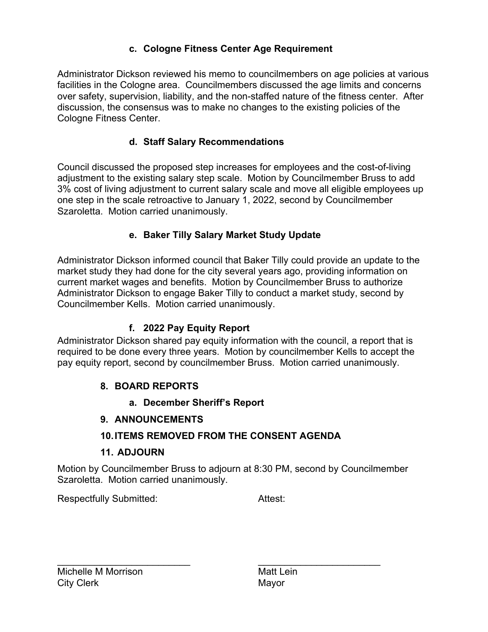#### **c. Cologne Fitness Center Age Requirement**

Administrator Dickson reviewed his memo to councilmembers on age policies at various facilities in the Cologne area. Councilmembers discussed the age limits and concerns over safety, supervision, liability, and the non-staffed nature of the fitness center. After discussion, the consensus was to make no changes to the existing policies of the Cologne Fitness Center.

#### **d. Staff Salary Recommendations**

Council discussed the proposed step increases for employees and the cost-of-living adjustment to the existing salary step scale. Motion by Councilmember Bruss to add 3% cost of living adjustment to current salary scale and move all eligible employees up one step in the scale retroactive to January 1, 2022, second by Councilmember Szaroletta. Motion carried unanimously.

#### **e. Baker Tilly Salary Market Study Update**

Administrator Dickson informed council that Baker Tilly could provide an update to the market study they had done for the city several years ago, providing information on current market wages and benefits. Motion by Councilmember Bruss to authorize Administrator Dickson to engage Baker Tilly to conduct a market study, second by Councilmember Kells. Motion carried unanimously.

## **f. 2022 Pay Equity Report**

Administrator Dickson shared pay equity information with the council, a report that is required to be done every three years. Motion by councilmember Kells to accept the pay equity report, second by councilmember Bruss. Motion carried unanimously.

## **8. BOARD REPORTS**

#### **a. December Sheriff's Report**

#### **9. ANNOUNCEMENTS**

## **10.ITEMS REMOVED FROM THE CONSENT AGENDA**

## **11. ADJOURN**

Motion by Councilmember Bruss to adjourn at 8:30 PM, second by Councilmember Szaroletta. Motion carried unanimously.

Respectfully Submitted: Attest: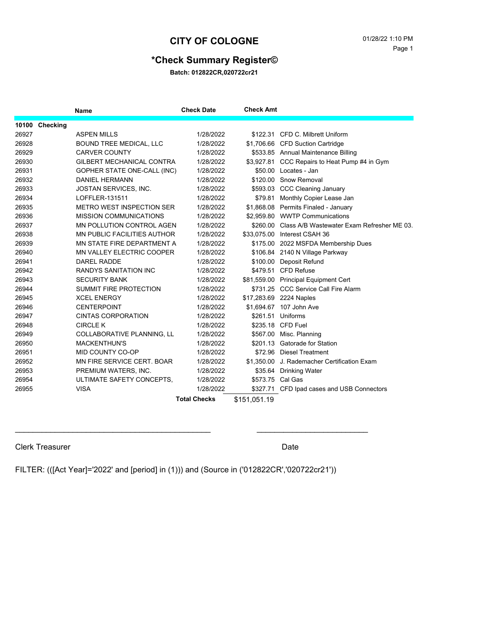#### **\*Check Summary Register©**

**Batch: 012822CR,020722cr21**

|       |                | <b>Name</b>                        | <b>Check Date</b>   | <b>Check Amt</b> |                                                     |
|-------|----------------|------------------------------------|---------------------|------------------|-----------------------------------------------------|
|       | 10100 Checking |                                    |                     |                  |                                                     |
| 26927 |                | <b>ASPEN MILLS</b>                 | 1/28/2022           |                  | \$122.31 CFD C. Milbrett Uniform                    |
| 26928 |                | <b>BOUND TREE MEDICAL, LLC</b>     | 1/28/2022           |                  | \$1,706.66 CFD Suction Cartridge                    |
| 26929 |                | <b>CARVER COUNTY</b>               | 1/28/2022           |                  | \$533.85 Annual Maintenance Billing                 |
| 26930 |                | <b>GILBERT MECHANICAL CONTRA</b>   | 1/28/2022           |                  | \$3,927.81 CCC Repairs to Heat Pump #4 in Gym       |
| 26931 |                | GOPHER STATE ONE-CALL (INC)        | 1/28/2022           |                  | \$50.00 Locates - Jan                               |
| 26932 |                | <b>DANIEL HERMANN</b>              | 1/28/2022           |                  | \$120.00 Snow Removal                               |
| 26933 |                | JOSTAN SERVICES, INC.              | 1/28/2022           |                  | \$593.03 CCC Cleaning January                       |
| 26934 |                | LOFFLER-131511                     | 1/28/2022           | \$79.81          | Monthly Copier Lease Jan                            |
| 26935 |                | <b>METRO WEST INSPECTION SER</b>   | 1/28/2022           |                  | \$1,868.08 Permits Finaled - January                |
| 26936 |                | <b>MISSION COMMUNICATIONS</b>      | 1/28/2022           |                  | \$2,959.80 WWTP Communications                      |
| 26937 |                | <b>MN POLLUTION CONTROL AGEN</b>   | 1/28/2022           |                  | \$260.00 Class A/B Wastewater Exam Refresher ME 03. |
| 26938 |                | <b>MN PUBLIC FACILITIES AUTHOR</b> | 1/28/2022           |                  | \$33,075.00 Interest CSAH 36                        |
| 26939 |                | MN STATE FIRE DEPARTMENT A         | 1/28/2022           |                  | \$175.00 2022 MSFDA Membership Dues                 |
| 26940 |                | <b>MN VALLEY ELECTRIC COOPER</b>   | 1/28/2022           |                  | \$106.84 2140 N Village Parkway                     |
| 26941 |                | DAREL RADDE                        | 1/28/2022           | \$100.00         | Deposit Refund                                      |
| 26942 |                | <b>RANDYS SANITATION INC</b>       | 1/28/2022           |                  | \$479.51 CFD Refuse                                 |
| 26943 |                | <b>SECURITY BANK</b>               | 1/28/2022           |                  | \$81,559.00 Principal Equipment Cert                |
| 26944 |                | SUMMIT FIRE PROTECTION             | 1/28/2022           |                  | \$731.25 CCC Service Call Fire Alarm                |
| 26945 |                | <b>XCEL ENERGY</b>                 | 1/28/2022           |                  | \$17,283.69 2224 Naples                             |
| 26946 |                | <b>CENTERPOINT</b>                 | 1/28/2022           |                  | \$1,694.67 107 John Ave                             |
| 26947 |                | <b>CINTAS CORPORATION</b>          | 1/28/2022           |                  | \$261.51 Uniforms                                   |
| 26948 |                | <b>CIRCLE K</b>                    | 1/28/2022           |                  | \$235.18 CFD Fuel                                   |
| 26949 |                | COLLABORATIVE PLANNING, LL         | 1/28/2022           | \$567.00         | Misc. Planning                                      |
| 26950 |                | <b>MACKENTHUN'S</b>                | 1/28/2022           |                  | \$201.13 Gatorade for Station                       |
| 26951 |                | MID COUNTY CO-OP                   | 1/28/2022           |                  | \$72.96 Diesel Treatment                            |
| 26952 |                | MN FIRE SERVICE CERT. BOAR         | 1/28/2022           | \$1,350.00       | J. Rademacher Certification Exam                    |
| 26953 |                | PREMIUM WATERS, INC.               | 1/28/2022           |                  | \$35.64 Drinking Water                              |
| 26954 |                | ULTIMATE SAFETY CONCEPTS.          | 1/28/2022           | \$573.75 Cal Gas |                                                     |
| 26955 |                | <b>VISA</b>                        | 1/28/2022           |                  | \$327.71 CFD Ipad cases and USB Connectors          |
|       |                |                                    | <b>Total Checks</b> | \$151.051.19     |                                                     |

#### Clerk Treasurer Date Clerk Treasurer Date

FILTER: (([Act Year]='2022' and [period] in (1))) and (Source in ('012822CR','020722cr21'))

 $\mathcal{L}_\mathcal{L} = \mathcal{L}_\mathcal{L} = \mathcal{L}_\mathcal{L} = \mathcal{L}_\mathcal{L} = \mathcal{L}_\mathcal{L} = \mathcal{L}_\mathcal{L} = \mathcal{L}_\mathcal{L} = \mathcal{L}_\mathcal{L} = \mathcal{L}_\mathcal{L} = \mathcal{L}_\mathcal{L} = \mathcal{L}_\mathcal{L} = \mathcal{L}_\mathcal{L} = \mathcal{L}_\mathcal{L} = \mathcal{L}_\mathcal{L} = \mathcal{L}_\mathcal{L} = \mathcal{L}_\mathcal{L} = \mathcal{L}_\mathcal{L}$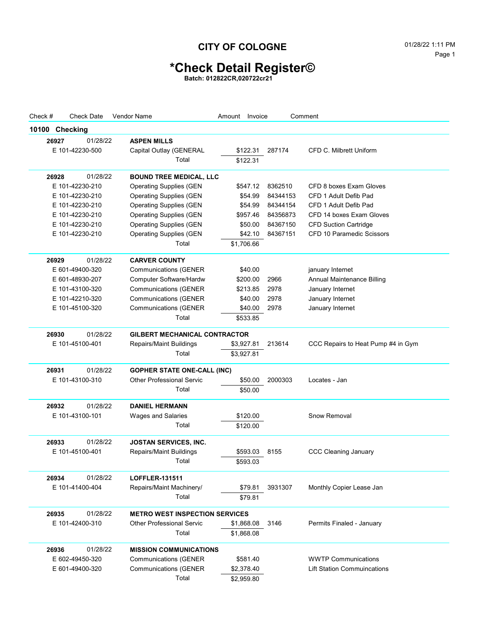# **\*Check Detail Register©**

**Batch: 012822CR,020722cr21**

| Check #        | <b>Check Date</b> | <b>Vendor Name</b>                    | Amount Invoice |            |          | Comment                            |
|----------------|-------------------|---------------------------------------|----------------|------------|----------|------------------------------------|
| 10100 Checking |                   |                                       |                |            |          |                                    |
| 26927          | 01/28/22          | <b>ASPEN MILLS</b>                    |                |            |          |                                    |
|                | E 101-42230-500   | Capital Outlay (GENERAL               |                | \$122.31   | 287174   | CFD C. Milbrett Uniform            |
|                |                   | Total                                 |                | \$122.31   |          |                                    |
| 26928          | 01/28/22          | <b>BOUND TREE MEDICAL, LLC</b>        |                |            |          |                                    |
|                | E 101-42230-210   | <b>Operating Supplies (GEN</b>        |                | \$547.12   | 8362510  | CFD 8 boxes Exam Gloves            |
|                | E 101-42230-210   | <b>Operating Supplies (GEN</b>        |                | \$54.99    | 84344153 | CFD 1 Adult Defib Pad              |
|                | E 101-42230-210   | <b>Operating Supplies (GEN</b>        |                | \$54.99    | 84344154 | CFD 1 Adult Defib Pad              |
|                | E 101-42230-210   | <b>Operating Supplies (GEN</b>        |                | \$957.46   | 84356873 | CFD 14 boxes Exam Gloves           |
|                | E 101-42230-210   | <b>Operating Supplies (GEN</b>        |                | \$50.00    | 84367150 | <b>CFD Suction Cartridge</b>       |
|                | E 101-42230-210   | <b>Operating Supplies (GEN</b>        |                | \$42.10    | 84367151 | CFD 10 Paramedic Scissors          |
|                |                   | Total                                 |                | \$1,706.66 |          |                                    |
| 26929          | 01/28/22          | <b>CARVER COUNTY</b>                  |                |            |          |                                    |
|                | E 601-49400-320   | <b>Communications (GENER)</b>         |                | \$40.00    |          | january Internet                   |
|                | E 601-48930-207   | <b>Computer Software/Hardw</b>        |                | \$200.00   | 2966     | Annual Maintenance Billing         |
|                | E 101-43100-320   | <b>Communications (GENER</b>          |                | \$213.85   | 2978     | January Internet                   |
|                | E 101-42210-320   | <b>Communications (GENER</b>          |                | \$40.00    | 2978     | January Internet                   |
|                | E 101-45100-320   | <b>Communications (GENER</b>          |                | \$40.00    | 2978     | January Internet                   |
|                |                   | Total                                 |                | \$533.85   |          |                                    |
| 26930          | 01/28/22          | <b>GILBERT MECHANICAL CONTRACTOR</b>  |                |            |          |                                    |
|                | E 101-45100-401   | Repairs/Maint Buildings               |                | \$3,927.81 | 213614   | CCC Repairs to Heat Pump #4 in Gym |
|                |                   | Total                                 | \$3,927.81     |            |          |                                    |
| 26931          | 01/28/22          | <b>GOPHER STATE ONE-CALL (INC)</b>    |                |            |          |                                    |
|                | E 101-43100-310   | <b>Other Professional Servic</b>      |                | \$50.00    | 2000303  | Locates - Jan                      |
|                |                   | Total                                 |                | \$50.00    |          |                                    |
| 26932          | 01/28/22          | <b>DANIEL HERMANN</b>                 |                |            |          |                                    |
|                | E 101-43100-101   | Wages and Salaries                    |                | \$120.00   |          | Snow Removal                       |
|                |                   | Total                                 |                | \$120.00   |          |                                    |
| 26933          | 01/28/22          | <b>JOSTAN SERVICES, INC.</b>          |                |            |          |                                    |
|                | E 101-45100-401   | <b>Repairs/Maint Buildings</b>        |                | \$593.03   | 8155     | <b>CCC Cleaning January</b>        |
|                |                   | Total                                 |                | \$593.03   |          |                                    |
|                |                   |                                       |                |            |          |                                    |
| 26934          | 01/28/22          | <b>LOFFLER-131511</b>                 |                |            |          |                                    |
|                | E 101-41400-404   | Repairs/Maint Machinery/              |                | \$79.81    | 3931307  | Monthly Copier Lease Jan           |
|                |                   | Total                                 |                | \$79.81    |          |                                    |
| 26935          | 01/28/22          | <b>METRO WEST INSPECTION SERVICES</b> |                |            |          |                                    |
|                | E 101-42400-310   | <b>Other Professional Servic</b>      |                | \$1,868.08 | 3146     | Permits Finaled - January          |
|                |                   | Total                                 |                | \$1,868.08 |          |                                    |
| 26936          | 01/28/22          | <b>MISSION COMMUNICATIONS</b>         |                |            |          |                                    |
|                | E 602-49450-320   | <b>Communications (GENER</b>          |                | \$581.40   |          | <b>WWTP Communications</b>         |
|                | E 601-49400-320   | <b>Communications (GENER</b>          |                | \$2,378.40 |          | <b>Lift Station Commuincations</b> |
|                |                   | Total                                 |                | \$2,959.80 |          |                                    |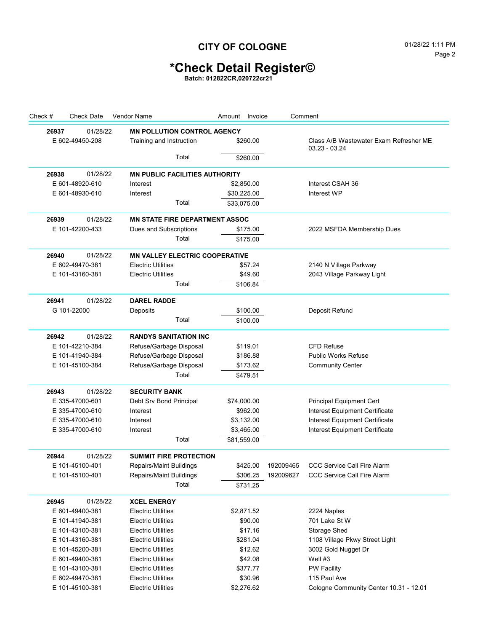## **\*Check Detail Register©**

**Batch: 012822CR,020722cr21**

| Check # | <b>Check Date</b> | <b>Vendor Name</b>                    | Amount<br>Invoice |           | Comment                                                   |
|---------|-------------------|---------------------------------------|-------------------|-----------|-----------------------------------------------------------|
| 26937   | 01/28/22          | <b>MN POLLUTION CONTROL AGENCY</b>    |                   |           |                                                           |
|         | E 602-49450-208   | Training and Instruction              | \$260.00          |           | Class A/B Wastewater Exam Refresher ME<br>$03.23 - 03.24$ |
|         |                   | Total                                 | \$260.00          |           |                                                           |
| 26938   | 01/28/22          | <b>MN PUBLIC FACILITIES AUTHORITY</b> |                   |           |                                                           |
|         | E 601-48920-610   | Interest                              | \$2,850.00        |           | Interest CSAH 36                                          |
|         | E 601-48930-610   | Interest                              | \$30,225.00       |           | Interest WP                                               |
|         |                   | Total                                 | \$33,075.00       |           |                                                           |
| 26939   | 01/28/22          | <b>MN STATE FIRE DEPARTMENT ASSOC</b> |                   |           |                                                           |
|         | E 101-42200-433   | Dues and Subscriptions                | \$175.00          |           | 2022 MSFDA Membership Dues                                |
|         |                   | Total                                 | \$175.00          |           |                                                           |
| 26940   | 01/28/22          | <b>MN VALLEY ELECTRIC COOPERATIVE</b> |                   |           |                                                           |
|         | E 602-49470-381   | <b>Electric Utilities</b>             | \$57.24           |           | 2140 N Village Parkway                                    |
|         | E 101-43160-381   | <b>Electric Utilities</b>             | \$49.60           |           | 2043 Village Parkway Light                                |
|         |                   | Total                                 | \$106.84          |           |                                                           |
| 26941   | 01/28/22          | <b>DAREL RADDE</b>                    |                   |           |                                                           |
|         | G 101-22000       | Deposits                              | \$100.00          |           | Deposit Refund                                            |
|         |                   | Total                                 | \$100.00          |           |                                                           |
| 26942   | 01/28/22          | <b>RANDYS SANITATION INC</b>          |                   |           |                                                           |
|         | E 101-42210-384   | Refuse/Garbage Disposal               | \$119.01          |           | <b>CFD Refuse</b>                                         |
|         | E 101-41940-384   | Refuse/Garbage Disposal               | \$186.88          |           | <b>Public Works Refuse</b>                                |
|         | E 101-45100-384   | Refuse/Garbage Disposal               | \$173.62          |           | <b>Community Center</b>                                   |
|         |                   | Total                                 | \$479.51          |           |                                                           |
| 26943   | 01/28/22          | <b>SECURITY BANK</b>                  |                   |           |                                                           |
|         | E 335-47000-601   | Debt Srv Bond Principal               | \$74,000.00       |           | <b>Principal Equipment Cert</b>                           |
|         | E 335-47000-610   | Interest                              | \$962.00          |           | Interest Equipment Certificate                            |
|         | E 335-47000-610   | Interest                              | \$3,132.00        |           | Interest Equipment Certificate                            |
|         | E 335-47000-610   | Interest                              | \$3,465.00        |           | Interest Equipment Certificate                            |
|         |                   | Total                                 | \$81,559.00       |           |                                                           |
| 26944   | 01/28/22          | <b>SUMMIT FIRE PROTECTION</b>         |                   |           |                                                           |
|         | E 101-45100-401   | Repairs/Maint Buildings               | \$425.00          | 192009465 | <b>CCC Service Call Fire Alarm</b>                        |
|         | E 101-45100-401   | Repairs/Maint Buildings               | \$306.25          | 192009627 | <b>CCC Service Call Fire Alarm</b>                        |
|         |                   | Total                                 | \$731.25          |           |                                                           |
| 26945   | 01/28/22          | <b>XCEL ENERGY</b>                    |                   |           |                                                           |
|         | E 601-49400-381   | <b>Electric Utilities</b>             | \$2,871.52        |           | 2224 Naples                                               |
|         | E 101-41940-381   | <b>Electric Utilities</b>             | \$90.00           |           | 701 Lake St W                                             |
|         | E 101-43100-381   | <b>Electric Utilities</b>             | \$17.16           |           | Storage Shed                                              |
|         | E 101-43160-381   | <b>Electric Utilities</b>             | \$281.04          |           | 1108 Village Pkwy Street Light                            |
|         | E 101-45200-381   | <b>Electric Utilities</b>             | \$12.62           |           | 3002 Gold Nugget Dr                                       |
|         | E 601-49400-381   | <b>Electric Utilities</b>             | \$42.08           |           | Well #3                                                   |
|         | E 101-43100-381   | <b>Electric Utilities</b>             | \$377.77          |           | <b>PW Facility</b>                                        |
|         | E 602-49470-381   | <b>Electric Utilities</b>             | \$30.96           |           | 115 Paul Ave                                              |
|         | E 101-45100-381   | <b>Electric Utilities</b>             | \$2,276.62        |           | Cologne Community Center 10.31 - 12.01                    |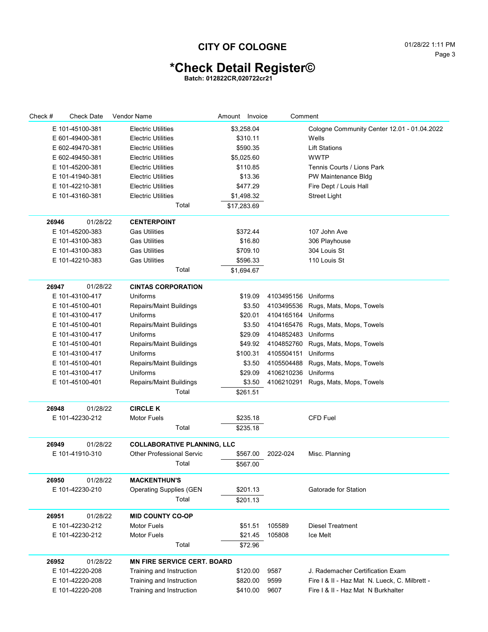## **\*Check Detail Register©**

**Batch: 012822CR,020722cr21**

| Check # | <b>Check Date</b> | <b>Vendor Name</b>                 | Amount Invoice |          | Comment    |                                               |
|---------|-------------------|------------------------------------|----------------|----------|------------|-----------------------------------------------|
|         | E 101-45100-381   | <b>Electric Utilities</b>          | \$3,258.04     |          |            | Cologne Community Center 12.01 - 01.04.2022   |
|         | E 601-49400-381   | <b>Electric Utilities</b>          |                | \$310.11 |            | Wells                                         |
|         | E 602-49470-381   | <b>Electric Utilities</b>          |                | \$590.35 |            | <b>Lift Stations</b>                          |
|         | E 602-49450-381   | <b>Electric Utilities</b>          | \$5,025.60     |          |            | <b>WWTP</b>                                   |
|         | E 101-45200-381   | <b>Electric Utilities</b>          |                | \$110.85 |            | Tennis Courts / Lions Park                    |
|         | E 101-41940-381   | <b>Electric Utilities</b>          |                | \$13.36  |            | PW Maintenance Bldg                           |
|         | E 101-42210-381   | <b>Electric Utilities</b>          |                | \$477.29 |            | Fire Dept / Louis Hall                        |
|         | E 101-43160-381   | <b>Electric Utilities</b>          | \$1,498.32     |          |            | <b>Street Light</b>                           |
|         |                   | Total                              | \$17,283.69    |          |            |                                               |
|         |                   |                                    |                |          |            |                                               |
| 26946   | 01/28/22          | <b>CENTERPOINT</b>                 |                |          |            |                                               |
|         | E 101-45200-383   | <b>Gas Utilities</b>               |                | \$372.44 |            | 107 John Ave                                  |
|         | E 101-43100-383   | <b>Gas Utilities</b>               |                | \$16.80  |            | 306 Playhouse                                 |
|         | E 101-43100-383   | <b>Gas Utilities</b>               |                | \$709.10 |            | 304 Louis St                                  |
|         | E 101-42210-383   | Gas Utilities                      |                | \$596.33 |            | 110 Louis St                                  |
|         |                   | Total                              | \$1,694.67     |          |            |                                               |
| 26947   | 01/28/22          | <b>CINTAS CORPORATION</b>          |                |          |            |                                               |
|         | E 101-43100-417   | Uniforms                           |                | \$19.09  | 4103495156 | Uniforms                                      |
|         | E 101-45100-401   | Repairs/Maint Buildings            |                | \$3.50   | 4103495536 | Rugs, Mats, Mops, Towels                      |
|         | E 101-43100-417   | Uniforms                           |                | \$20.01  | 4104165164 | Uniforms                                      |
|         | E 101-45100-401   | Repairs/Maint Buildings            |                | \$3.50   | 4104165476 | Rugs, Mats, Mops, Towels                      |
|         | E 101-43100-417   | <b>Uniforms</b>                    |                | \$29.09  | 4104852483 | Uniforms                                      |
|         | E 101-45100-401   | Repairs/Maint Buildings            |                | \$49.92  | 4104852760 | Rugs, Mats, Mops, Towels                      |
|         | E 101-43100-417   | Uniforms                           |                | \$100.31 | 4105504151 | Uniforms                                      |
|         | E 101-45100-401   | Repairs/Maint Buildings            |                | \$3.50   | 4105504488 | Rugs, Mats, Mops, Towels                      |
|         | E 101-43100-417   | <b>Uniforms</b>                    |                | \$29.09  | 4106210236 | Uniforms                                      |
|         | E 101-45100-401   | Repairs/Maint Buildings            |                | \$3.50   | 4106210291 | Rugs, Mats, Mops, Towels                      |
|         |                   | Total                              |                | \$261.51 |            |                                               |
| 26948   | 01/28/22          | <b>CIRCLE K</b>                    |                |          |            |                                               |
|         | E 101-42230-212   | <b>Motor Fuels</b>                 |                | \$235.18 |            | <b>CFD Fuel</b>                               |
|         |                   | Total                              |                | \$235.18 |            |                                               |
|         |                   |                                    |                |          |            |                                               |
| 26949   | 01/28/22          | <b>COLLABORATIVE PLANNING, LLC</b> |                |          |            |                                               |
|         | E 101-41910-310   | <b>Other Professional Servic</b>   |                | \$567.00 | 2022-024   | Misc. Planning                                |
|         |                   | Total                              |                | \$567.00 |            |                                               |
| 26950   | 01/28/22          | <b>MACKENTHUN'S</b>                |                |          |            |                                               |
|         | E 101-42230-210   | <b>Operating Supplies (GEN</b>     |                | \$201.13 |            | Gatorade for Station                          |
|         |                   | Total                              |                | \$201.13 |            |                                               |
|         |                   | <b>MID COUNTY CO-OP</b>            |                |          |            |                                               |
| 26951   | 01/28/22          |                                    |                |          |            |                                               |
|         | E 101-42230-212   | <b>Motor Fuels</b>                 |                | \$51.51  | 105589     | <b>Diesel Treatment</b>                       |
|         | E 101-42230-212   | <b>Motor Fuels</b>                 |                | \$21.45  | 105808     | Ice Melt                                      |
|         |                   | Total                              |                | \$72.96  |            |                                               |
| 26952   | 01/28/22          | <b>MN FIRE SERVICE CERT. BOARD</b> |                |          |            |                                               |
|         | E 101-42220-208   | Training and Instruction           |                | \$120.00 | 9587       | J. Rademacher Certification Exam              |
|         | E 101-42220-208   | Training and Instruction           |                | \$820.00 | 9599       | Fire I & II - Haz Mat N. Lueck, C. Milbrett - |
|         | E 101-42220-208   | Training and Instruction           |                | \$410.00 | 9607       | Fire I & II - Haz Mat N Burkhalter            |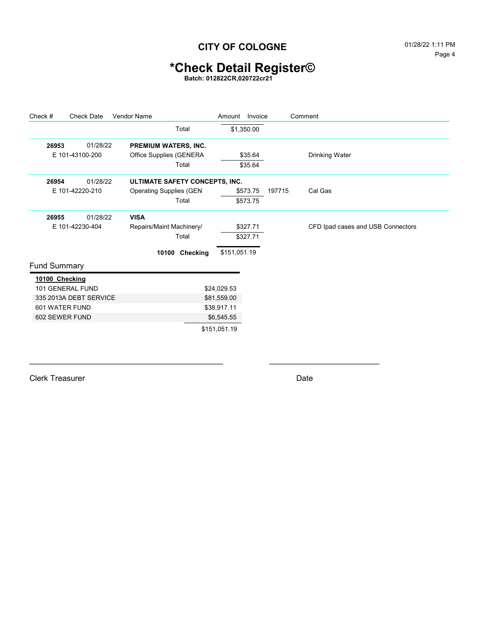# **\*Check Detail Register©**

**Batch: 012822CR,020722cr21**

| Check #             | <b>Check Date</b>      | <b>Vendor Name</b>              |                | Amount Invoice |        | Comment                           |
|---------------------|------------------------|---------------------------------|----------------|----------------|--------|-----------------------------------|
|                     |                        |                                 | Total          | \$1,350.00     |        |                                   |
| 26953               | 01/28/22               | PREMIUM WATERS, INC.            |                |                |        |                                   |
|                     | E 101-43100-200        | Office Supplies (GENERA         |                | \$35.64        |        | Drinking Water                    |
|                     |                        |                                 | Total          | \$35.64        |        |                                   |
| 26954               | 01/28/22               | ULTIMATE SAFETY CONCEPTS, INC.  |                |                |        |                                   |
|                     | E 101-42220-210        | <b>Operating Supplies (GEN)</b> |                | \$573.75       | 197715 | Cal Gas                           |
|                     |                        |                                 | Total          | \$573.75       |        |                                   |
| 26955               | 01/28/22               | <b>VISA</b>                     |                |                |        |                                   |
|                     | E 101-42230-404        | Repairs/Maint Machinery/        |                | \$327.71       |        | CFD Ipad cases and USB Connectors |
|                     |                        |                                 | Total          | \$327.71       |        |                                   |
|                     |                        |                                 | 10100 Checking | \$151,051.19   |        |                                   |
| <b>Fund Summary</b> |                        |                                 |                |                |        |                                   |
| 10100 Checking      |                        |                                 |                |                |        |                                   |
|                     | 101 GENERAL FUND       |                                 |                | \$24,029.53    |        |                                   |
|                     | 335 2013A DEBT SERVICE |                                 |                | \$81,559.00    |        |                                   |
| 601 WATER FUND      |                        |                                 |                | \$38,917.11    |        |                                   |
| 602 SEWER FUND      |                        |                                 |                | \$6,545.55     |        |                                   |
|                     |                        |                                 |                | \$151,051.19   |        |                                   |

 $\mathcal{L}_\text{max}$  , and the contribution of the contribution of the contribution of the contribution of the contribution of the contribution of the contribution of the contribution of the contribution of the contribution of t

Clerk Treasurer Date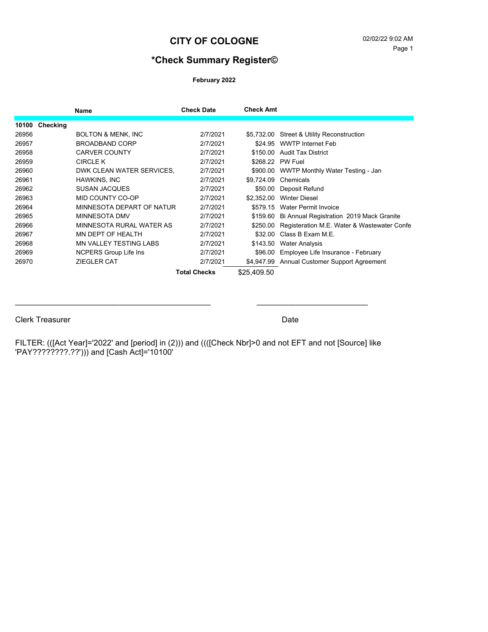#### **CITY OF COLOGNE** 02/02/22 9:02 AM

#### **\*Check Summary Register©**

**February 2022**

|       |          | <b>Name</b>                   | <b>Check Date</b> | <b>Check Amt</b> |                                             |
|-------|----------|-------------------------------|-------------------|------------------|---------------------------------------------|
| 10100 | Checking |                               |                   |                  |                                             |
| 26956 |          | <b>BOLTON &amp; MENK, INC</b> | 2/7/2021          |                  | \$5,732.00 Street & Utility Reconstruction  |
| 26957 |          | <b>BROADBAND CORP</b>         | 2/7/2021          | \$24.95          | <b>WWTP Internet Feb</b>                    |
| 26958 |          | <b>CARVER COUNTY</b>          | 2/7/2021          | \$150.00         | <b>Audit Tax District</b>                   |
| 26959 |          | <b>CIRCLE K</b>               | 2/7/2021          | \$268.22         | PW Fuel                                     |
| 26960 |          | DWK CLEAN WATER SERVICES,     | 2/7/2021          | \$900.00         | WWTP Monthly Water Testing - Jan            |
| 26961 |          | HAWKINS, INC                  | 2/7/2021          | \$9.724.09       | Chemicals                                   |
| 26962 |          | <b>SUSAN JACQUES</b>          | 2/7/2021          | \$50.00          | Deposit Refund                              |
| 26963 |          | MID COUNTY CO-OP              | 2/7/2021          | \$2.352.00       | <b>Winter Diesel</b>                        |
| 26964 |          | MINNESOTA DEPART OF NATUR     | 2/7/2021          | \$579.15         | <b>Water Permit Invoice</b>                 |
| 26965 |          | MINNESOTA DMV                 | 2/7/2021          | \$159.60         | Bi Annual Registration 2019 Mack Granite    |
| 26966 |          | MINNESOTA RURAL WATER AS      | 2/7/2021          | \$250.00         | Registeration M.E. Water & Wastewater Confe |
| 26967 |          | MN DEPT OF HEALTH             | 2/7/2021          | \$32.00          | Class B Exam M.E.                           |
| 26968 |          | <b>MN VALLEY TESTING LABS</b> | 2/7/2021          | \$143.50         | <b>Water Analysis</b>                       |
| 26969 |          | <b>NCPERS Group Life Ins</b>  | 2/7/2021          | \$96.00          | Employee Life Insurance - February          |
| 26970 |          | <b>ZIEGLER CAT</b>            | 2/7/2021          | \$4.947.99       | Annual Customer Support Agreement           |
|       |          |                               | Total Checks      | \$25.409.50      |                                             |

#### Clerk Treasurer Date Clerk Treasurer Date

FILTER: (([Act Year]='2022' and [period] in (2))) and ((([Check Nbr]>0 and not EFT and not [Source] like 'PAY????????.??'))) and [Cash Act]='10100'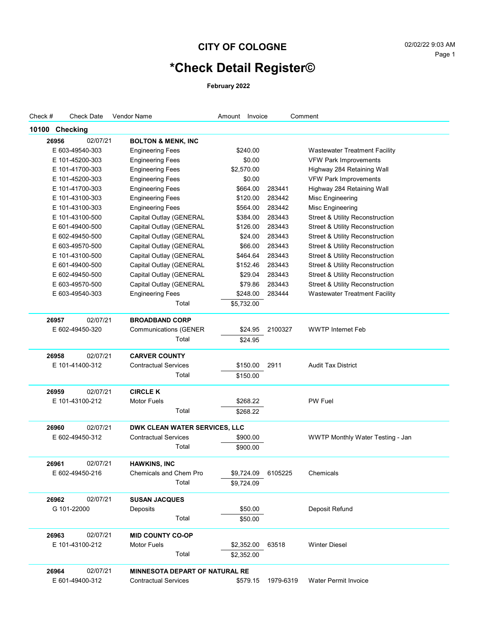#### CITY OF COLOGNE 02/02/22 9:03 AM

# **\*Check Detail Register©**

**February 2022**

| Check # | Check Date        | <b>Vendor Name</b>                    | Amount<br>Invoice |           | Comment                                    |
|---------|-------------------|---------------------------------------|-------------------|-----------|--------------------------------------------|
| 10100   | <b>Checking</b>   |                                       |                   |           |                                            |
|         | 02/07/21<br>26956 | <b>BOLTON &amp; MENK, INC</b>         |                   |           |                                            |
|         | E 603-49540-303   | <b>Engineering Fees</b>               | \$240.00          |           | <b>Wastewater Treatment Facility</b>       |
|         | E 101-45200-303   | <b>Engineering Fees</b>               | \$0.00            |           | <b>VFW Park Improvements</b>               |
|         | E 101-41700-303   | <b>Engineering Fees</b>               | \$2,570.00        |           | Highway 284 Retaining Wall                 |
|         | E 101-45200-303   | <b>Engineering Fees</b>               | \$0.00            |           | <b>VFW Park Improvements</b>               |
|         | E 101-41700-303   | <b>Engineering Fees</b>               | \$664.00          | 283441    | Highway 284 Retaining Wall                 |
|         | E 101-43100-303   | <b>Engineering Fees</b>               | \$120.00          | 283442    | Misc Engineering                           |
|         | E 101-43100-303   | <b>Engineering Fees</b>               | \$564.00          | 283442    | Misc Engineering                           |
|         | E 101-43100-500   | Capital Outlay (GENERAL               | \$384.00          | 283443    | <b>Street &amp; Utility Reconstruction</b> |
|         | E 601-49400-500   | Capital Outlay (GENERAL               | \$126.00          | 283443    | <b>Street &amp; Utility Reconstruction</b> |
|         | E 602-49450-500   | Capital Outlay (GENERAL               | \$24.00           | 283443    | <b>Street &amp; Utility Reconstruction</b> |
|         | E 603-49570-500   | Capital Outlay (GENERAL               | \$66.00           | 283443    | <b>Street &amp; Utility Reconstruction</b> |
|         | E 101-43100-500   | Capital Outlay (GENERAL               | \$464.64          | 283443    | <b>Street &amp; Utility Reconstruction</b> |
|         | E 601-49400-500   | Capital Outlay (GENERAL               | \$152.46          | 283443    | <b>Street &amp; Utility Reconstruction</b> |
|         | E 602-49450-500   | Capital Outlay (GENERAL               | \$29.04           | 283443    | <b>Street &amp; Utility Reconstruction</b> |
|         | E 603-49570-500   | Capital Outlay (GENERAL               | \$79.86           | 283443    | <b>Street &amp; Utility Reconstruction</b> |
|         | E 603-49540-303   | <b>Engineering Fees</b>               | \$248.00          | 283444    | <b>Wastewater Treatment Facility</b>       |
|         |                   | Total                                 | \$5,732.00        |           |                                            |
|         | 02/07/21<br>26957 | <b>BROADBAND CORP</b>                 |                   |           |                                            |
|         | E 602-49450-320   | <b>Communications (GENER</b>          | \$24.95           | 2100327   | <b>WWTP Internet Feb</b>                   |
|         |                   | Total                                 | \$24.95           |           |                                            |
|         |                   |                                       |                   |           |                                            |
|         | 02/07/21<br>26958 | <b>CARVER COUNTY</b>                  |                   |           |                                            |
|         | E 101-41400-312   | <b>Contractual Services</b>           | \$150.00          | 2911      | <b>Audit Tax District</b>                  |
|         |                   | Total                                 | \$150.00          |           |                                            |
|         | 02/07/21<br>26959 | <b>CIRCLE K</b>                       |                   |           |                                            |
|         | E 101-43100-212   | Motor Fuels                           | \$268.22          |           | <b>PW Fuel</b>                             |
|         |                   | Total                                 | \$268.22          |           |                                            |
|         |                   |                                       |                   |           |                                            |
|         | 26960<br>02/07/21 | <b>DWK CLEAN WATER SERVICES, LLC</b>  |                   |           |                                            |
|         | E 602-49450-312   | <b>Contractual Services</b>           | \$900.00          |           | WWTP Monthly Water Testing - Jan           |
|         |                   | Total                                 | \$900.00          |           |                                            |
|         | 26961<br>02/07/21 | <b>HAWKINS, INC</b>                   |                   |           |                                            |
|         | E 602-49450-216   | Chemicals and Chem Pro                | \$9,724.09        | 6105225   | Chemicals                                  |
|         |                   | Total                                 | \$9,724.09        |           |                                            |
|         | 02/07/21<br>26962 | <b>SUSAN JACQUES</b>                  |                   |           |                                            |
|         | G 101-22000       | Deposits                              | \$50.00           |           | Deposit Refund                             |
|         |                   | Total                                 | \$50.00           |           |                                            |
|         |                   |                                       |                   |           |                                            |
|         | 02/07/21<br>26963 | <b>MID COUNTY CO-OP</b>               |                   |           |                                            |
|         | E 101-43100-212   | Motor Fuels                           | \$2,352.00        | 63518     | <b>Winter Diesel</b>                       |
|         |                   | Total                                 | \$2,352.00        |           |                                            |
|         | 02/07/21<br>26964 | <b>MINNESOTA DEPART OF NATURAL RE</b> |                   |           |                                            |
|         | E 601-49400-312   | <b>Contractual Services</b>           | \$579.15          | 1979-6319 | Water Permit Invoice                       |
|         |                   |                                       |                   |           |                                            |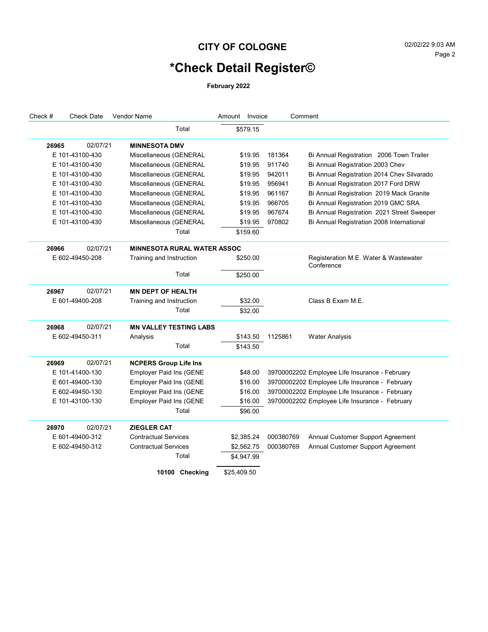#### **CITY OF COLOGNE** 02/02/22 9:03 AM

# **\*Check Detail Register©**

**February 2022**

| Check #         | <b>Check Date</b> | <b>Vendor Name</b>                 | Amount Invoice |           | Comment                                             |
|-----------------|-------------------|------------------------------------|----------------|-----------|-----------------------------------------------------|
|                 |                   | Total                              | \$579.15       |           |                                                     |
| 26965           | 02/07/21          | <b>MINNESOTA DMV</b>               |                |           |                                                     |
|                 | E 101-43100-430   | Miscellaneous (GENERAL             | \$19.95        | 181364    | Bi Annual Registration 2006 Town Trailer            |
|                 | E 101-43100-430   | Miscellaneous (GENERAL             | \$19.95        | 911740    | Bi Annual Registration 2003 Chev                    |
|                 | E 101-43100-430   | Miscellaneous (GENERAL             | \$19.95        | 942011    | Bi Annual Registration 2014 Chev Silvarado          |
|                 | E 101-43100-430   | Miscellaneous (GENERAL             | \$19.95        | 956941    | Bi Annual Registration 2017 Ford DRW                |
|                 | E 101-43100-430   | Miscellaneous (GENERAL             | \$19.95        | 961167    | Bi Annual Registration 2019 Mack Granite            |
|                 | E 101-43100-430   | Miscellaneous (GENERAL             | \$19.95        | 966705    | Bi Annual Registration 2019 GMC SRA                 |
|                 | E 101-43100-430   | Miscellaneous (GENERAL             | \$19.95        | 967674    | Bi Annual Registration 2021 Street Sweeper          |
|                 | E 101-43100-430   | Miscellaneous (GENERAL             | \$19.95        | 970802    | Bi Annual Registration 2008 International           |
|                 |                   | Total                              | \$159.60       |           |                                                     |
| 26966           | 02/07/21          | <b>MINNESOTA RURAL WATER ASSOC</b> |                |           |                                                     |
|                 | E 602-49450-208   | Training and Instruction           | \$250.00       |           | Registeration M.E. Water & Wastewater<br>Conference |
|                 |                   | Total                              | \$250.00       |           |                                                     |
| 26967           | 02/07/21          | <b>MN DEPT OF HEALTH</b>           |                |           |                                                     |
|                 | E 601-49400-208   | Training and Instruction           | \$32.00        |           | Class B Exam M.E.                                   |
|                 |                   | Total                              | \$32.00        |           |                                                     |
| 26968           | 02/07/21          | <b>MN VALLEY TESTING LABS</b>      |                |           |                                                     |
|                 | E 602-49450-311   | Analysis                           | \$143.50       | 1125861   | <b>Water Analysis</b>                               |
|                 |                   | Total                              | \$143.50       |           |                                                     |
| 26969           | 02/07/21          | <b>NCPERS Group Life Ins</b>       |                |           |                                                     |
|                 | E 101-41400-130   | <b>Employer Paid Ins (GENE</b>     | \$48.00        |           | 39700002202 Employee Life Insurance - February      |
|                 | E 601-49400-130   | <b>Employer Paid Ins (GENE</b>     | \$16.00        |           | 39700002202 Employee Life Insurance - February      |
|                 | E 602-49450-130   | <b>Employer Paid Ins (GENE</b>     | \$16.00        |           | 39700002202 Employee Life Insurance - February      |
|                 | E 101-43100-130   | <b>Employer Paid Ins (GENE</b>     | \$16.00        |           | 39700002202 Employee Life Insurance - February      |
|                 |                   | Total                              | \$96.00        |           |                                                     |
| 26970           | 02/07/21          | <b>ZIEGLER CAT</b>                 |                |           |                                                     |
|                 | E 601-49400-312   | <b>Contractual Services</b>        | \$2,385.24     | 000380769 | Annual Customer Support Agreement                   |
| E 602-49450-312 |                   | <b>Contractual Services</b>        | \$2,562.75     | 000380769 | Annual Customer Support Agreement                   |
|                 |                   | Total                              | \$4,947.99     |           |                                                     |
|                 |                   | 10100 Checking                     | \$25,409.50    |           |                                                     |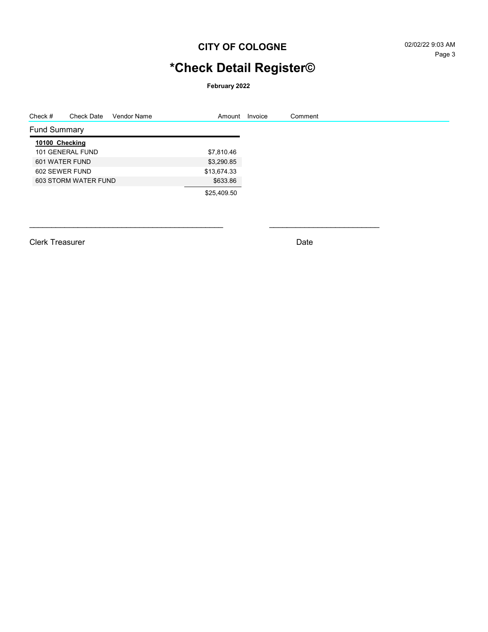#### **CITY OF COLOGNE** 02/02/22 9:03 AM

# **\*Check Detail Register©**

**February 2022**

| Check #             | Check Date           | Vendor Name | Amount      | Invoice | Comment |
|---------------------|----------------------|-------------|-------------|---------|---------|
| <b>Fund Summary</b> |                      |             |             |         |         |
| 10100 Checking      |                      |             |             |         |         |
|                     | 101 GENERAL FUND     |             | \$7,810.46  |         |         |
| 601 WATER FUND      |                      |             | \$3,290.85  |         |         |
| 602 SEWER FUND      |                      |             | \$13,674.33 |         |         |
|                     | 603 STORM WATER FUND |             | \$633.86    |         |         |
|                     |                      |             | \$25,409.50 |         |         |
|                     |                      |             |             |         |         |

Clerk Treasurer Date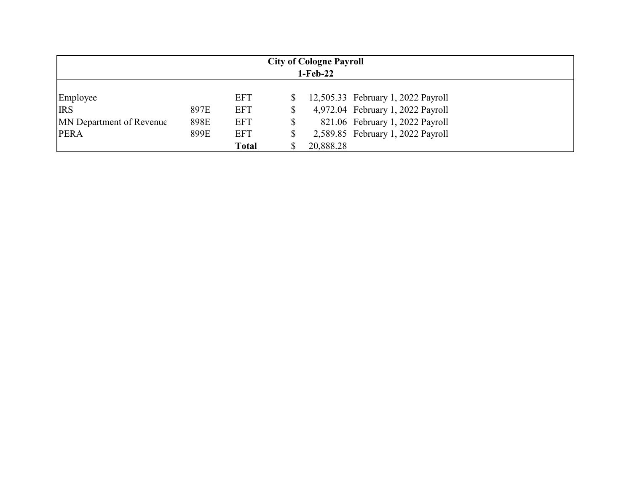| <b>City of Cologne Payroll</b><br>$1-Feb-22$ |      |              |    |           |                                    |  |  |  |
|----------------------------------------------|------|--------------|----|-----------|------------------------------------|--|--|--|
| Employee                                     |      | <b>EFT</b>   |    |           | 12,505.33 February 1, 2022 Payroll |  |  |  |
| <b>IRS</b>                                   | 897E | <b>EFT</b>   | \$ |           | 4,972.04 February 1, 2022 Payroll  |  |  |  |
| <b>MN</b> Department of Revenue              | 898E | <b>EFT</b>   | \$ |           | 821.06 February 1, 2022 Payroll    |  |  |  |
| <b>PERA</b>                                  | 899E | <b>EFT</b>   | \$ |           | 2,589.85 February 1, 2022 Payroll  |  |  |  |
|                                              |      | <b>Total</b> |    | 20,888.28 |                                    |  |  |  |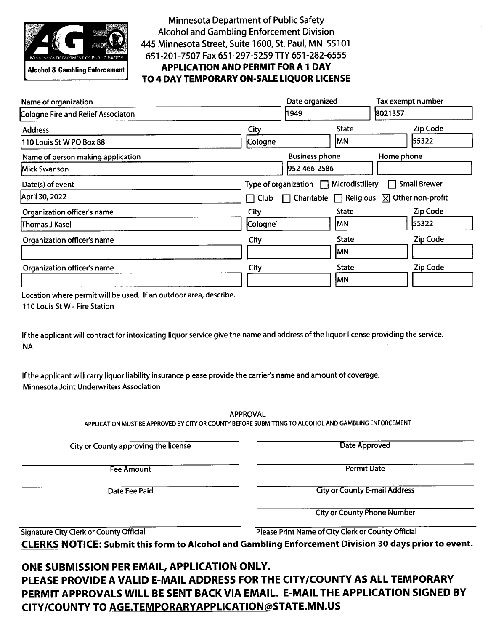

**Alcohol & Gambling Enforcement** 

**Minnesota Department of Public Safety Alcohol and Gambling Enforcement Division** 445 Minnesota Street, Suite 1600, St. Paul, MN 55101 651-201-7507 Fax 651-297-5259 TTY 651-282-6555 **APPLICATION AND PERMIT FOR A 1 DAY** 

TO 4 DAY TEMPORARY ON-SALE LIQUOR LICENSE

| Name of organization               |          | Date organized                       | Tax exempt number                                        |  |  |
|------------------------------------|----------|--------------------------------------|----------------------------------------------------------|--|--|
| Cologne Fire and Relief Associaton |          | 1949                                 | 8021357                                                  |  |  |
| <b>Address</b>                     | City     | <b>State</b>                         | <b>Zip Code</b>                                          |  |  |
| 110 Louis St W PO Box 88           | Cologne  | MN                                   | 55322                                                    |  |  |
| Name of person making application  |          | <b>Business phone</b>                | Home phone                                               |  |  |
| Mick Swanson                       |          | 952-466-2586                         |                                                          |  |  |
| Date(s) of event                   |          | Type of organization Microdistillery | <b>Small Brewer</b><br>$\perp$                           |  |  |
| April 30, 2022                     | Club     |                                      | Charitable $\Box$ Religious $\boxtimes$ Other non-profit |  |  |
| Organization officer's name        | City     | <b>State</b>                         | Zip Code                                                 |  |  |
| Thomas J Kasel                     | Cologne' | IMN.                                 | 55322                                                    |  |  |
| Organization officer's name        | City     | <b>State</b>                         | <b>Zip Code</b>                                          |  |  |
|                                    |          | <b>MN</b>                            |                                                          |  |  |
| Organization officer's name        | City     | <b>State</b>                         | Zip Code                                                 |  |  |
|                                    |          | <b>MN</b>                            |                                                          |  |  |

Location where permit will be used. If an outdoor area, describe.

110 Louis St W - Fire Station

If the applicant will contract for intoxicating liquor service give the name and address of the liquor license providing the service. **NA** 

If the applicant will carry liquor liability insurance please provide the carrier's name and amount of coverage. Minnesota Joint Underwriters Association

**APPROVAL** 

APPLICATION MUST BE APPROVED BY CITY OR COUNTY BEFORE SUBMITTING TO ALCOHOL AND GAMBLING ENFORCEMENT

City or County approving the license

**Fee Amount** 

Date Fee Paid

Date Approved

**Permit Date** 

**City or County E-mail Address** 

**City or County Phone Number** 

Signature City Clerk or County Official

Please Print Name of City Clerk or County Official

**CLERKS NOTICE:** Submit this form to Alcohol and Gambling Enforcement Division 30 days prior to event.

ONE SUBMISSION PER EMAIL, APPLICATION ONLY.

PLEASE PROVIDE A VALID E-MAIL ADDRESS FOR THE CITY/COUNTY AS ALL TEMPORARY PERMIT APPROVALS WILL BE SENT BACK VIA EMAIL. E-MAIL THE APPLICATION SIGNED BY CITY/COUNTY TO AGE.TEMPORARYAPPLICATION@STATE.MN.US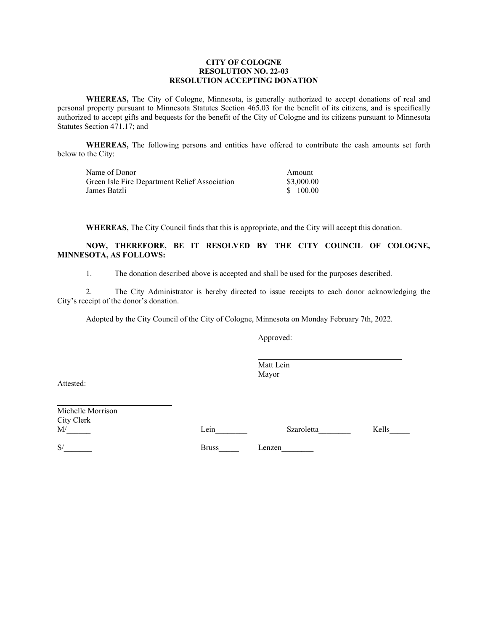#### **CITY OF COLOGNE RESOLUTION NO. 22-03 RESOLUTION ACCEPTING DONATION**

**WHEREAS,** The City of Cologne, Minnesota, is generally authorized to accept donations of real and personal property pursuant to Minnesota Statutes Section 465.03 for the benefit of its citizens, and is specifically authorized to accept gifts and bequests for the benefit of the City of Cologne and its citizens pursuant to Minnesota Statutes Section 471.17; and

**WHEREAS,** The following persons and entities have offered to contribute the cash amounts set forth below to the City:

| Name of Donor                                 | Amount     |
|-----------------------------------------------|------------|
| Green Isle Fire Department Relief Association | \$3,000.00 |
| James Batzli                                  | \$100.00   |

**WHEREAS,** The City Council finds that this is appropriate, and the City will accept this donation.

#### **NOW, THEREFORE, BE IT RESOLVED BY THE CITY COUNCIL OF COLOGNE, MINNESOTA, AS FOLLOWS:**

1. The donation described above is accepted and shall be used for the purposes described.

2. The City Administrator is hereby directed to issue receipts to each donor acknowledging the City's receipt of the donor's donation.

Adopted by the City Council of the City of Cologne, Minnesota on Monday February 7th, 2022.

Approved:

Matt Lein Mayor

Attested:

Michelle Morrison City Clerk

M/\_\_\_\_\_\_\_ Lein\_\_\_\_\_\_\_ Szaroletta\_\_\_\_\_\_ Kells\_\_\_\_\_

S/ Bruss Lenzen